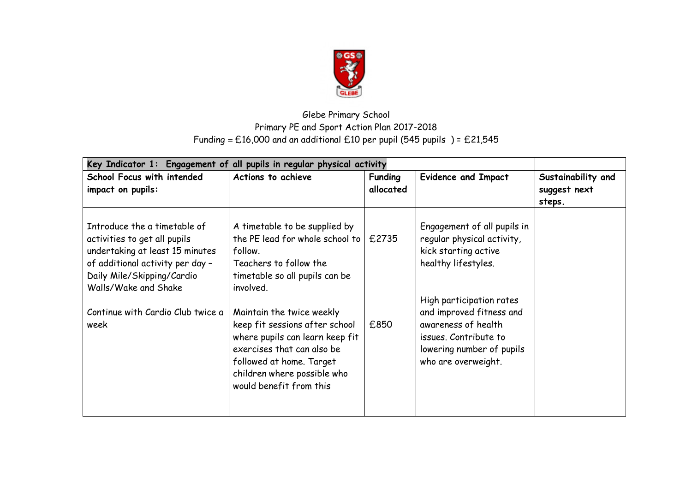

## Glebe Primary School Primary PE and Sport Action Plan 2017-2018 Funding = £16,000 and an additional £10 per pupil (545 pupils ) = £21,545

| Key Indicator 1: Engagement of all pupils in regular physical activity                                                                                                                    |                                                                                                                                                                                                                    |                             |                                                                                                                                                          |                                              |
|-------------------------------------------------------------------------------------------------------------------------------------------------------------------------------------------|--------------------------------------------------------------------------------------------------------------------------------------------------------------------------------------------------------------------|-----------------------------|----------------------------------------------------------------------------------------------------------------------------------------------------------|----------------------------------------------|
| School Focus with intended<br>impact on pupils:                                                                                                                                           | Actions to achieve                                                                                                                                                                                                 | <b>Funding</b><br>allocated | <b>Evidence and Impact</b>                                                                                                                               | Sustainability and<br>suggest next<br>steps. |
| Introduce the a timetable of<br>activities to get all pupils<br>undertaking at least 15 minutes<br>of additional activity per day -<br>Daily Mile/Skipping/Cardio<br>Walls/Wake and Shake | A timetable to be supplied by<br>the PE lead for whole school to $\pm$ 2735<br>follow.<br>Teachers to follow the<br>timetable so all pupils can be<br>involved.                                                    |                             | Engagement of all pupils in<br>regular physical activity,<br>kick starting active<br>healthy lifestyles.                                                 |                                              |
| Continue with Cardio Club twice a<br>week                                                                                                                                                 | Maintain the twice weekly<br>keep fit sessions after school<br>where pupils can learn keep fit<br>exercises that can also be<br>followed at home. Target<br>children where possible who<br>would benefit from this | £850                        | High participation rates<br>and improved fitness and<br>awareness of health<br>issues. Contribute to<br>lowering number of pupils<br>who are overweight. |                                              |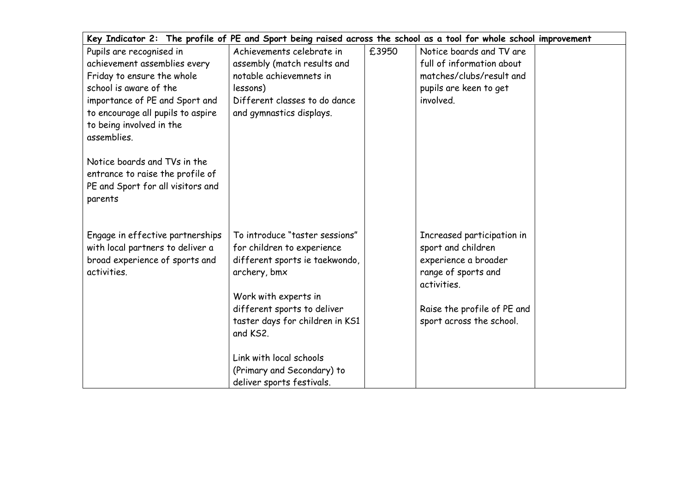| Key Indicator 2: The profile of PE and Sport being raised across the school as a tool for whole school improvement |                                 |       |                             |  |  |
|--------------------------------------------------------------------------------------------------------------------|---------------------------------|-------|-----------------------------|--|--|
| Pupils are recognised in                                                                                           | Achievements celebrate in       | £3950 | Notice boards and TV are    |  |  |
| achievement assemblies every                                                                                       | assembly (match results and     |       | full of information about   |  |  |
| Friday to ensure the whole                                                                                         | notable achievemnets in         |       | matches/clubs/result and    |  |  |
| school is aware of the                                                                                             | lessons)                        |       | pupils are keen to get      |  |  |
| importance of PE and Sport and                                                                                     | Different classes to do dance   |       | involved.                   |  |  |
| to encourage all pupils to aspire                                                                                  | and gymnastics displays.        |       |                             |  |  |
| to being involved in the                                                                                           |                                 |       |                             |  |  |
| assemblies.                                                                                                        |                                 |       |                             |  |  |
|                                                                                                                    |                                 |       |                             |  |  |
| Notice boards and TVs in the                                                                                       |                                 |       |                             |  |  |
| entrance to raise the profile of                                                                                   |                                 |       |                             |  |  |
| PE and Sport for all visitors and                                                                                  |                                 |       |                             |  |  |
| parents                                                                                                            |                                 |       |                             |  |  |
|                                                                                                                    |                                 |       |                             |  |  |
| Engage in effective partnerships                                                                                   | To introduce "taster sessions"  |       | Increased participation in  |  |  |
| with local partners to deliver a                                                                                   | for children to experience      |       | sport and children          |  |  |
| broad experience of sports and                                                                                     | different sports ie taekwondo,  |       | experience a broader        |  |  |
| activities.                                                                                                        | archery, bmx                    |       | range of sports and         |  |  |
|                                                                                                                    |                                 |       | activities.                 |  |  |
|                                                                                                                    | Work with experts in            |       |                             |  |  |
|                                                                                                                    | different sports to deliver     |       | Raise the profile of PE and |  |  |
|                                                                                                                    | taster days for children in KS1 |       | sport across the school.    |  |  |
|                                                                                                                    | and KS2.                        |       |                             |  |  |
|                                                                                                                    |                                 |       |                             |  |  |
|                                                                                                                    | Link with local schools         |       |                             |  |  |
|                                                                                                                    | (Primary and Secondary) to      |       |                             |  |  |
|                                                                                                                    | deliver sports festivals.       |       |                             |  |  |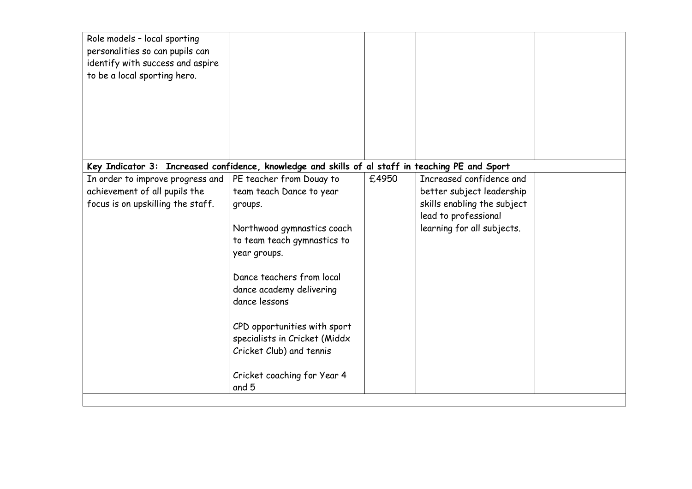| Key Indicator 3: Increased confidence, knowledge and skills of al staff in teaching PE and Sport                                                                                                                                                                                                                                                            |       |                                                                                                                                            |  |
|-------------------------------------------------------------------------------------------------------------------------------------------------------------------------------------------------------------------------------------------------------------------------------------------------------------------------------------------------------------|-------|--------------------------------------------------------------------------------------------------------------------------------------------|--|
|                                                                                                                                                                                                                                                                                                                                                             |       |                                                                                                                                            |  |
| PE teacher from Douay to<br>team teach Dance to year<br>groups.<br>Northwood gymnastics coach<br>to team teach gymnastics to<br>year groups.<br>Dance teachers from local<br>dance academy delivering<br>dance lessons<br>CPD opportunities with sport<br>specialists in Cricket (Middx<br>Cricket Club) and tennis<br>Cricket coaching for Year 4<br>and 5 | £4950 | Increased confidence and<br>better subject leadership<br>skills enabling the subject<br>lead to professional<br>learning for all subjects. |  |
|                                                                                                                                                                                                                                                                                                                                                             |       |                                                                                                                                            |  |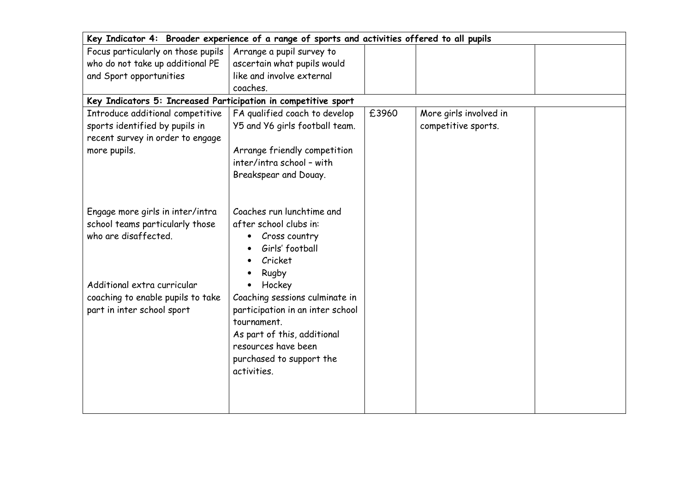| Key Indicator 4: Broader experience of a range of sports and activities offered to all pupils |                                  |       |                        |  |  |
|-----------------------------------------------------------------------------------------------|----------------------------------|-------|------------------------|--|--|
| Focus particularly on those pupils                                                            | Arrange a pupil survey to        |       |                        |  |  |
| who do not take up additional PE                                                              | ascertain what pupils would      |       |                        |  |  |
| and Sport opportunities                                                                       | like and involve external        |       |                        |  |  |
|                                                                                               | coaches.                         |       |                        |  |  |
| Key Indicators 5: Increased Participation in competitive sport                                |                                  |       |                        |  |  |
| Introduce additional competitive                                                              | FA qualified coach to develop    | £3960 | More girls involved in |  |  |
| sports identified by pupils in                                                                | Y5 and Y6 girls football team.   |       | competitive sports.    |  |  |
| recent survey in order to engage                                                              |                                  |       |                        |  |  |
| more pupils.                                                                                  | Arrange friendly competition     |       |                        |  |  |
|                                                                                               | inter/intra school - with        |       |                        |  |  |
|                                                                                               | Breakspear and Douay.            |       |                        |  |  |
|                                                                                               |                                  |       |                        |  |  |
|                                                                                               |                                  |       |                        |  |  |
| Engage more girls in inter/intra                                                              | Coaches run lunchtime and        |       |                        |  |  |
| school teams particularly those                                                               | after school clubs in:           |       |                        |  |  |
| who are disaffected.                                                                          | Cross country<br>$\bullet$       |       |                        |  |  |
|                                                                                               | Girls' football                  |       |                        |  |  |
|                                                                                               | Cricket                          |       |                        |  |  |
|                                                                                               | Rugby                            |       |                        |  |  |
| Additional extra curricular                                                                   | Hockey                           |       |                        |  |  |
| coaching to enable pupils to take                                                             | Coaching sessions culminate in   |       |                        |  |  |
| part in inter school sport                                                                    | participation in an inter school |       |                        |  |  |
|                                                                                               | tournament.                      |       |                        |  |  |
|                                                                                               | As part of this, additional      |       |                        |  |  |
|                                                                                               | resources have been              |       |                        |  |  |
|                                                                                               | purchased to support the         |       |                        |  |  |
|                                                                                               | activities.                      |       |                        |  |  |
|                                                                                               |                                  |       |                        |  |  |
|                                                                                               |                                  |       |                        |  |  |
|                                                                                               |                                  |       |                        |  |  |